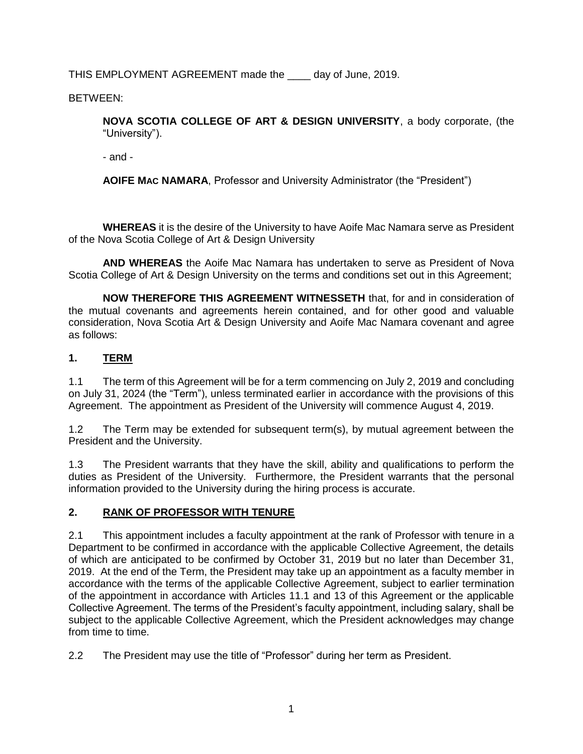THIS EMPLOYMENT AGREEMENT made the \_\_\_\_ day of June, 2019.

BETWEEN:

**NOVA SCOTIA COLLEGE OF ART & DESIGN UNIVERSITY**, a body corporate, (the "University").

- and -

**AOIFE MAC NAMARA**, Professor and University Administrator (the "President")

**WHEREAS** it is the desire of the University to have Aoife Mac Namara serve as President of the Nova Scotia College of Art & Design University

**AND WHEREAS** the Aoife Mac Namara has undertaken to serve as President of Nova Scotia College of Art & Design University on the terms and conditions set out in this Agreement;

**NOW THEREFORE THIS AGREEMENT WITNESSETH** that, for and in consideration of the mutual covenants and agreements herein contained, and for other good and valuable consideration, Nova Scotia Art & Design University and Aoife Mac Namara covenant and agree as follows:

# **1. TERM**

1.1 The term of this Agreement will be for a term commencing on July 2, 2019 and concluding on July 31, 2024 (the "Term"), unless terminated earlier in accordance with the provisions of this Agreement. The appointment as President of the University will commence August 4, 2019.

1.2 The Term may be extended for subsequent term(s), by mutual agreement between the President and the University.

1.3 The President warrants that they have the skill, ability and qualifications to perform the duties as President of the University. Furthermore, the President warrants that the personal information provided to the University during the hiring process is accurate.

## **2. RANK OF PROFESSOR WITH TENURE**

2.1 This appointment includes a faculty appointment at the rank of Professor with tenure in a Department to be confirmed in accordance with the applicable Collective Agreement, the details of which are anticipated to be confirmed by October 31, 2019 but no later than December 31, 2019. At the end of the Term, the President may take up an appointment as a faculty member in accordance with the terms of the applicable Collective Agreement, subject to earlier termination of the appointment in accordance with Articles 11.1 and 13 of this Agreement or the applicable Collective Agreement. The terms of the President's faculty appointment, including salary, shall be subject to the applicable Collective Agreement, which the President acknowledges may change from time to time.

2.2 The President may use the title of "Professor" during her term as President.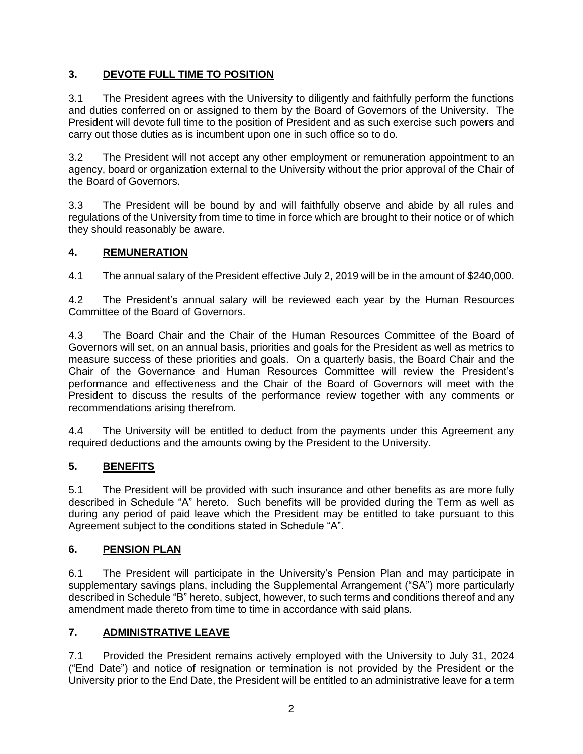# **3. DEVOTE FULL TIME TO POSITION**

3.1 The President agrees with the University to diligently and faithfully perform the functions and duties conferred on or assigned to them by the Board of Governors of the University. The President will devote full time to the position of President and as such exercise such powers and carry out those duties as is incumbent upon one in such office so to do.

3.2 The President will not accept any other employment or remuneration appointment to an agency, board or organization external to the University without the prior approval of the Chair of the Board of Governors.

3.3 The President will be bound by and will faithfully observe and abide by all rules and regulations of the University from time to time in force which are brought to their notice or of which they should reasonably be aware.

#### **4. REMUNERATION**

4.1 The annual salary of the President effective July 2, 2019 will be in the amount of \$240,000.

4.2 The President's annual salary will be reviewed each year by the Human Resources Committee of the Board of Governors.

4.3 The Board Chair and the Chair of the Human Resources Committee of the Board of Governors will set, on an annual basis, priorities and goals for the President as well as metrics to measure success of these priorities and goals. On a quarterly basis, the Board Chair and the Chair of the Governance and Human Resources Committee will review the President's performance and effectiveness and the Chair of the Board of Governors will meet with the President to discuss the results of the performance review together with any comments or recommendations arising therefrom.

4.4 The University will be entitled to deduct from the payments under this Agreement any required deductions and the amounts owing by the President to the University.

## **5. BENEFITS**

5.1 The President will be provided with such insurance and other benefits as are more fully described in Schedule "A" hereto. Such benefits will be provided during the Term as well as during any period of paid leave which the President may be entitled to take pursuant to this Agreement subject to the conditions stated in Schedule "A".

#### **6. PENSION PLAN**

6.1 The President will participate in the University's Pension Plan and may participate in supplementary savings plans, including the Supplemental Arrangement ("SA") more particularly described in Schedule "B" hereto, subject, however, to such terms and conditions thereof and any amendment made thereto from time to time in accordance with said plans.

## **7. ADMINISTRATIVE LEAVE**

7.1 Provided the President remains actively employed with the University to July 31, 2024 ("End Date") and notice of resignation or termination is not provided by the President or the University prior to the End Date, the President will be entitled to an administrative leave for a term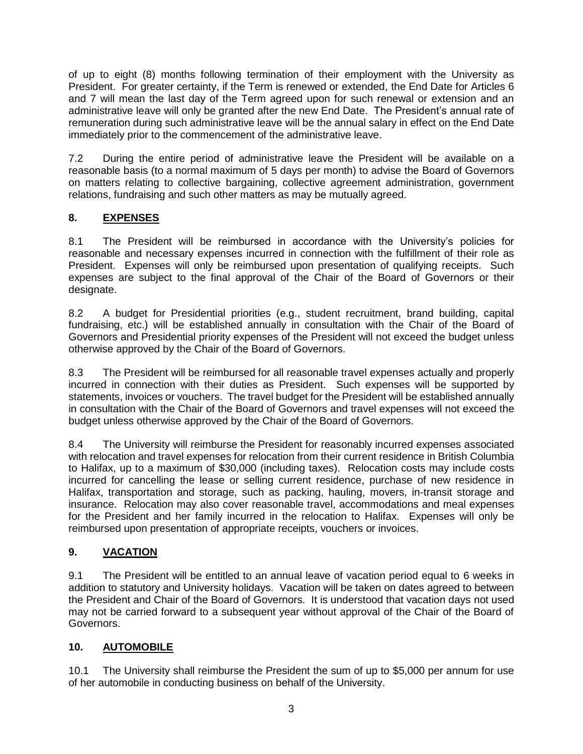of up to eight (8) months following termination of their employment with the University as President. For greater certainty, if the Term is renewed or extended, the End Date for Articles 6 and 7 will mean the last day of the Term agreed upon for such renewal or extension and an administrative leave will only be granted after the new End Date. The President's annual rate of remuneration during such administrative leave will be the annual salary in effect on the End Date immediately prior to the commencement of the administrative leave.

7.2 During the entire period of administrative leave the President will be available on a reasonable basis (to a normal maximum of 5 days per month) to advise the Board of Governors on matters relating to collective bargaining, collective agreement administration, government relations, fundraising and such other matters as may be mutually agreed.

# **8. EXPENSES**

8.1 The President will be reimbursed in accordance with the University's policies for reasonable and necessary expenses incurred in connection with the fulfillment of their role as President. Expenses will only be reimbursed upon presentation of qualifying receipts. Such expenses are subject to the final approval of the Chair of the Board of Governors or their designate.

8.2 A budget for Presidential priorities (e.g., student recruitment, brand building, capital fundraising, etc.) will be established annually in consultation with the Chair of the Board of Governors and Presidential priority expenses of the President will not exceed the budget unless otherwise approved by the Chair of the Board of Governors.

8.3 The President will be reimbursed for all reasonable travel expenses actually and properly incurred in connection with their duties as President. Such expenses will be supported by statements, invoices or vouchers. The travel budget for the President will be established annually in consultation with the Chair of the Board of Governors and travel expenses will not exceed the budget unless otherwise approved by the Chair of the Board of Governors.

8.4 The University will reimburse the President for reasonably incurred expenses associated with relocation and travel expenses for relocation from their current residence in British Columbia to Halifax, up to a maximum of \$30,000 (including taxes). Relocation costs may include costs incurred for cancelling the lease or selling current residence, purchase of new residence in Halifax, transportation and storage, such as packing, hauling, movers, in-transit storage and insurance. Relocation may also cover reasonable travel, accommodations and meal expenses for the President and her family incurred in the relocation to Halifax. Expenses will only be reimbursed upon presentation of appropriate receipts, vouchers or invoices.

# **9. VACATION**

9.1 The President will be entitled to an annual leave of vacation period equal to 6 weeks in addition to statutory and University holidays. Vacation will be taken on dates agreed to between the President and Chair of the Board of Governors. It is understood that vacation days not used may not be carried forward to a subsequent year without approval of the Chair of the Board of Governors.

# **10. AUTOMOBILE**

10.1 The University shall reimburse the President the sum of up to \$5,000 per annum for use of her automobile in conducting business on behalf of the University.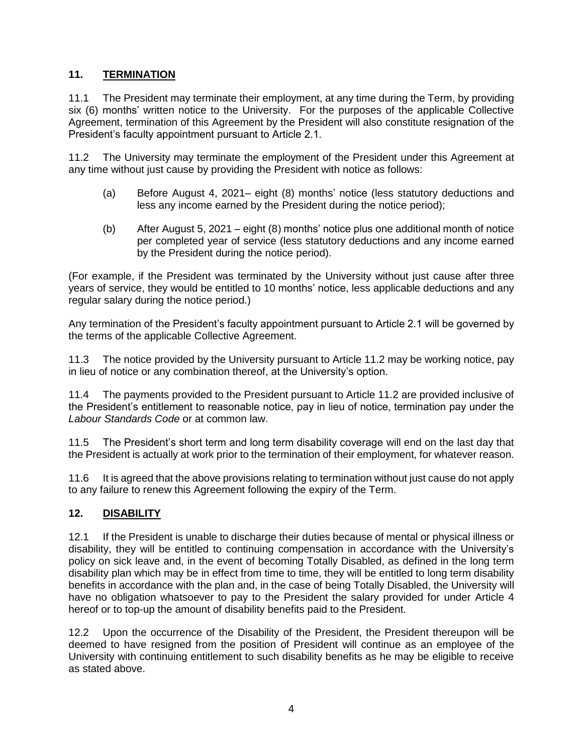# **11. TERMINATION**

11.1 The President may terminate their employment, at any time during the Term, by providing six (6) months' written notice to the University. For the purposes of the applicable Collective Agreement, termination of this Agreement by the President will also constitute resignation of the President's faculty appointment pursuant to Article 2.1.

11.2 The University may terminate the employment of the President under this Agreement at any time without just cause by providing the President with notice as follows:

- (a) Before August 4, 2021– eight (8) months' notice (less statutory deductions and less any income earned by the President during the notice period);
- (b) After August 5, 2021 eight (8) months' notice plus one additional month of notice per completed year of service (less statutory deductions and any income earned by the President during the notice period).

(For example, if the President was terminated by the University without just cause after three years of service, they would be entitled to 10 months' notice, less applicable deductions and any regular salary during the notice period.)

Any termination of the President's faculty appointment pursuant to Article 2.1 will be governed by the terms of the applicable Collective Agreement.

11.3 The notice provided by the University pursuant to Article 11.2 may be working notice, pay in lieu of notice or any combination thereof, at the University's option.

11.4 The payments provided to the President pursuant to Article 11.2 are provided inclusive of the President's entitlement to reasonable notice, pay in lieu of notice, termination pay under the *Labour Standards Code* or at common law.

11.5 The President's short term and long term disability coverage will end on the last day that the President is actually at work prior to the termination of their employment, for whatever reason.

11.6 It is agreed that the above provisions relating to termination without just cause do not apply to any failure to renew this Agreement following the expiry of the Term.

## **12. DISABILITY**

12.1 If the President is unable to discharge their duties because of mental or physical illness or disability, they will be entitled to continuing compensation in accordance with the University's policy on sick leave and, in the event of becoming Totally Disabled, as defined in the long term disability plan which may be in effect from time to time, they will be entitled to long term disability benefits in accordance with the plan and, in the case of being Totally Disabled, the University will have no obligation whatsoever to pay to the President the salary provided for under Article 4 hereof or to top-up the amount of disability benefits paid to the President.

12.2 Upon the occurrence of the Disability of the President, the President thereupon will be deemed to have resigned from the position of President will continue as an employee of the University with continuing entitlement to such disability benefits as he may be eligible to receive as stated above.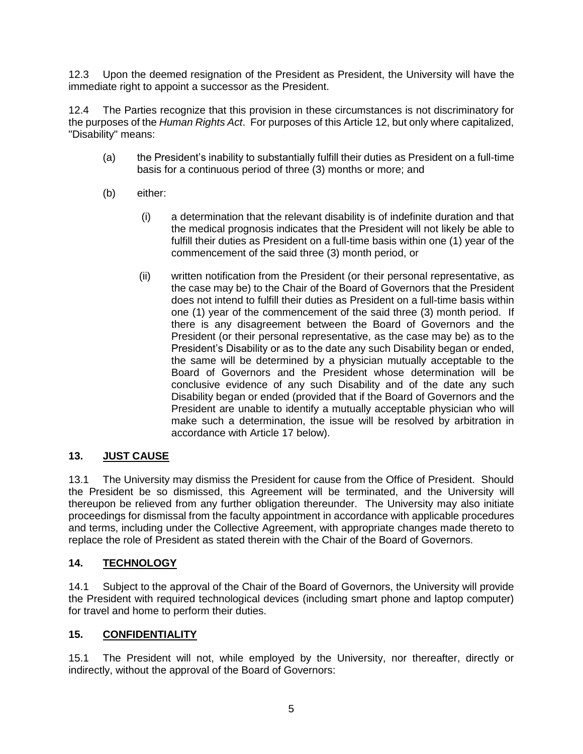12.3 Upon the deemed resignation of the President as President, the University will have the immediate right to appoint a successor as the President.

12.4 The Parties recognize that this provision in these circumstances is not discriminatory for the purposes of the *Human Rights Act*. For purposes of this Article 12, but only where capitalized, "Disability" means:

- (a) the President's inability to substantially fulfill their duties as President on a full-time basis for a continuous period of three (3) months or more; and
- (b) either:
	- (i) a determination that the relevant disability is of indefinite duration and that the medical prognosis indicates that the President will not likely be able to fulfill their duties as President on a full-time basis within one (1) year of the commencement of the said three (3) month period, or
	- (ii) written notification from the President (or their personal representative, as the case may be) to the Chair of the Board of Governors that the President does not intend to fulfill their duties as President on a full-time basis within one (1) year of the commencement of the said three (3) month period. If there is any disagreement between the Board of Governors and the President (or their personal representative, as the case may be) as to the President's Disability or as to the date any such Disability began or ended, the same will be determined by a physician mutually acceptable to the Board of Governors and the President whose determination will be conclusive evidence of any such Disability and of the date any such Disability began or ended (provided that if the Board of Governors and the President are unable to identify a mutually acceptable physician who will make such a determination, the issue will be resolved by arbitration in accordance with Article 17 below).

## **13. JUST CAUSE**

13.1 The University may dismiss the President for cause from the Office of President. Should the President be so dismissed, this Agreement will be terminated, and the University will thereupon be relieved from any further obligation thereunder. The University may also initiate proceedings for dismissal from the faculty appointment in accordance with applicable procedures and terms, including under the Collective Agreement, with appropriate changes made thereto to replace the role of President as stated therein with the Chair of the Board of Governors.

## **14. TECHNOLOGY**

14.1 Subject to the approval of the Chair of the Board of Governors, the University will provide the President with required technological devices (including smart phone and laptop computer) for travel and home to perform their duties.

## **15. CONFIDENTIALITY**

15.1 The President will not, while employed by the University, nor thereafter, directly or indirectly, without the approval of the Board of Governors: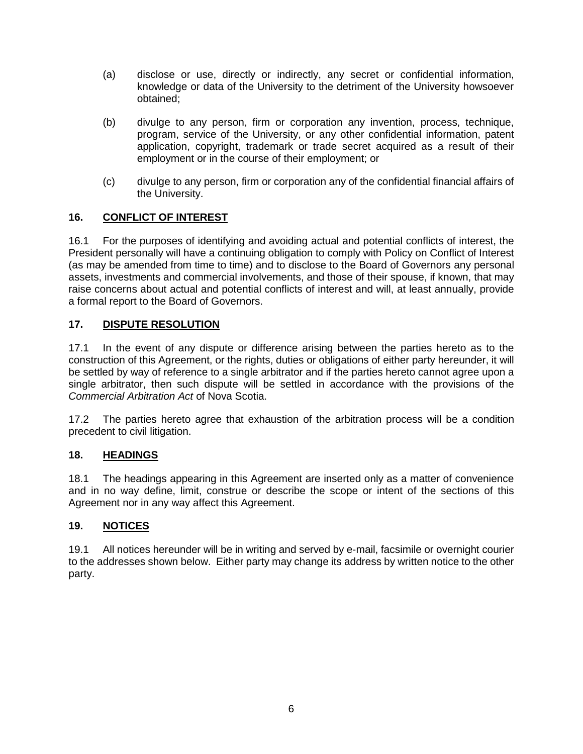- (a) disclose or use, directly or indirectly, any secret or confidential information, knowledge or data of the University to the detriment of the University howsoever obtained;
- (b) divulge to any person, firm or corporation any invention, process, technique, program, service of the University, or any other confidential information, patent application, copyright, trademark or trade secret acquired as a result of their employment or in the course of their employment; or
- (c) divulge to any person, firm or corporation any of the confidential financial affairs of the University.

## **16. CONFLICT OF INTEREST**

16.1 For the purposes of identifying and avoiding actual and potential conflicts of interest, the President personally will have a continuing obligation to comply with Policy on Conflict of Interest (as may be amended from time to time) and to disclose to the Board of Governors any personal assets, investments and commercial involvements, and those of their spouse, if known, that may raise concerns about actual and potential conflicts of interest and will, at least annually, provide a formal report to the Board of Governors.

## **17. DISPUTE RESOLUTION**

17.1 In the event of any dispute or difference arising between the parties hereto as to the construction of this Agreement, or the rights, duties or obligations of either party hereunder, it will be settled by way of reference to a single arbitrator and if the parties hereto cannot agree upon a single arbitrator, then such dispute will be settled in accordance with the provisions of the *Commercial Arbitration Act* of Nova Scotia.

17.2 The parties hereto agree that exhaustion of the arbitration process will be a condition precedent to civil litigation.

## **18. HEADINGS**

18.1 The headings appearing in this Agreement are inserted only as a matter of convenience and in no way define, limit, construe or describe the scope or intent of the sections of this Agreement nor in any way affect this Agreement.

## **19. NOTICES**

19.1 All notices hereunder will be in writing and served by e-mail, facsimile or overnight courier to the addresses shown below. Either party may change its address by written notice to the other party.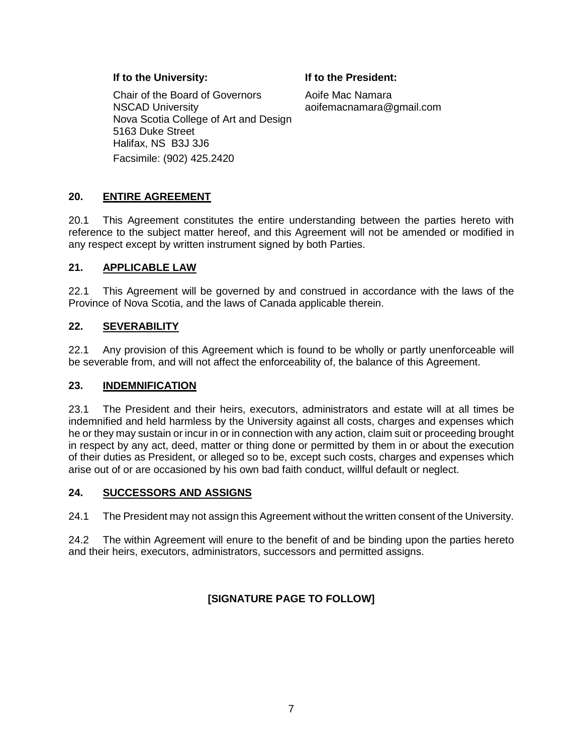#### **If to the University: If to the President:**

Chair of the Board of Governors NSCAD University Nova Scotia College of Art and Design 5163 Duke Street Halifax, NS B3J 3J6 Facsimile: (902) 425.2420

Aoife Mac Namara aoifemacnamara@gmail.com

# **20. ENTIRE AGREEMENT**

20.1 This Agreement constitutes the entire understanding between the parties hereto with reference to the subject matter hereof, and this Agreement will not be amended or modified in any respect except by written instrument signed by both Parties.

#### **21. APPLICABLE LAW**

22.1 This Agreement will be governed by and construed in accordance with the laws of the Province of Nova Scotia, and the laws of Canada applicable therein.

#### **22. SEVERABILITY**

22.1 Any provision of this Agreement which is found to be wholly or partly unenforceable will be severable from, and will not affect the enforceability of, the balance of this Agreement.

#### **23. INDEMNIFICATION**

23.1 The President and their heirs, executors, administrators and estate will at all times be indemnified and held harmless by the University against all costs, charges and expenses which he or they may sustain or incur in or in connection with any action, claim suit or proceeding brought in respect by any act, deed, matter or thing done or permitted by them in or about the execution of their duties as President, or alleged so to be, except such costs, charges and expenses which arise out of or are occasioned by his own bad faith conduct, willful default or neglect.

#### **24. SUCCESSORS AND ASSIGNS**

24.1 The President may not assign this Agreement without the written consent of the University.

24.2 The within Agreement will enure to the benefit of and be binding upon the parties hereto and their heirs, executors, administrators, successors and permitted assigns.

# **[SIGNATURE PAGE TO FOLLOW]**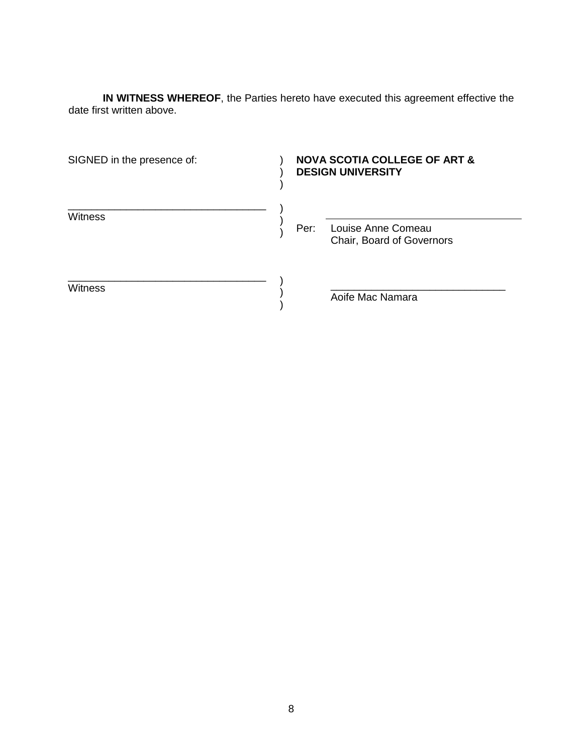**IN WITNESS WHEREOF**, the Parties hereto have executed this agreement effective the date first written above.

| SIGNED in the presence of: | <b>NOVA SCOTIA COLLEGE OF ART &amp;</b><br><b>DESIGN UNIVERSITY</b> |                                                 |
|----------------------------|---------------------------------------------------------------------|-------------------------------------------------|
| <b>Witness</b>             | Per:                                                                | Louise Anne Comeau<br>Chair, Board of Governors |
| Witness                    |                                                                     | Aoife Mac Namara                                |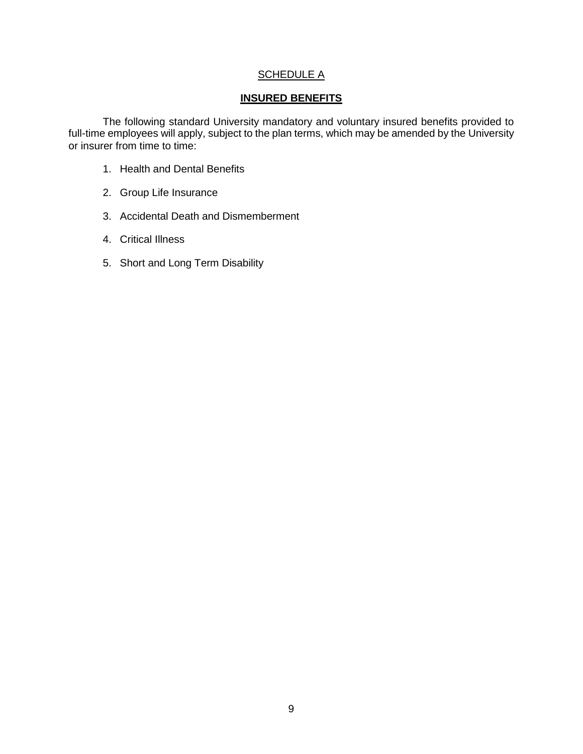#### **SCHEDULE A**

#### **INSURED BENEFITS**

The following standard University mandatory and voluntary insured benefits provided to full-time employees will apply, subject to the plan terms, which may be amended by the University or insurer from time to time:

- 1. Health and Dental Benefits
- 2. Group Life Insurance
- 3. Accidental Death and Dismemberment
- 4. Critical Illness
- 5. Short and Long Term Disability